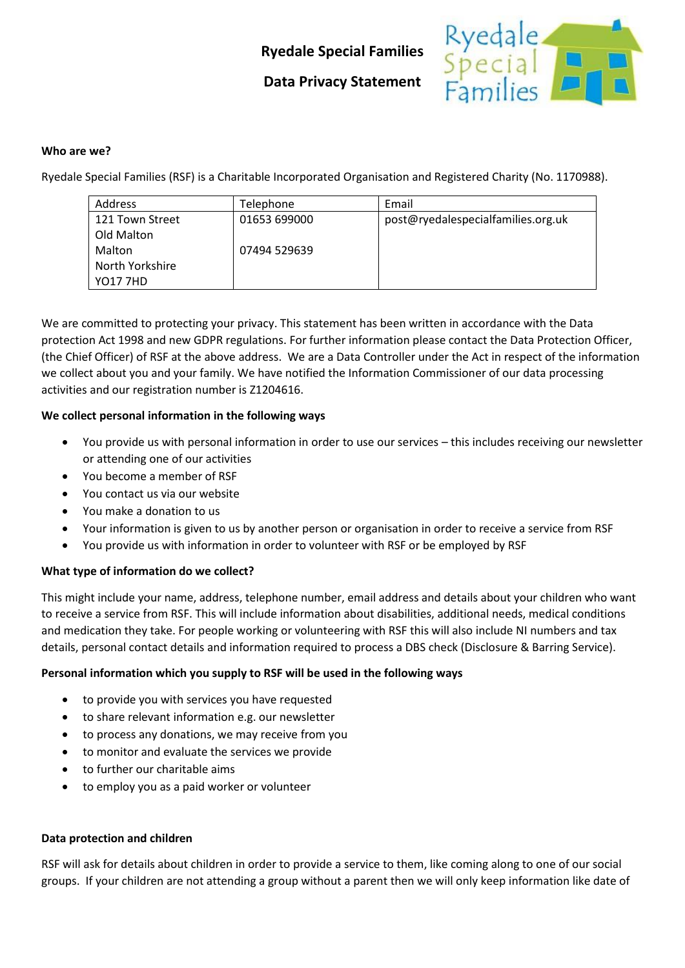# **Ryedale Special Families**



## **Data Privacy Statement**

#### **Who are we?**

Ryedale Special Families (RSF) is a Charitable Incorporated Organisation and Registered Charity (No. 1170988).

| <b>Address</b>  | Telephone    | Email                              |
|-----------------|--------------|------------------------------------|
| 121 Town Street | 01653 699000 | post@ryedalespecialfamilies.org.uk |
| Old Malton      |              |                                    |
| Malton          | 07494 529639 |                                    |
| North Yorkshire |              |                                    |
| <b>YO17 7HD</b> |              |                                    |

We are committed to protecting your privacy. This statement has been written in accordance with the Data protection Act 1998 and new GDPR regulations. For further information please contact the Data Protection Officer, (the Chief Officer) of RSF at the above address. We are a Data Controller under the Act in respect of the information we collect about you and your family. We have notified the Information Commissioner of our data processing activities and our registration number is Z1204616.

### **We collect personal information in the following ways**

- You provide us with personal information in order to use our services this includes receiving our newsletter or attending one of our activities
- You become a member of RSF
- You contact us via our website
- You make a donation to us
- Your information is given to us by another person or organisation in order to receive a service from RSF
- You provide us with information in order to volunteer with RSF or be employed by RSF

### **What type of information do we collect?**

This might include your name, address, telephone number, email address and details about your children who want to receive a service from RSF. This will include information about disabilities, additional needs, medical conditions and medication they take. For people working or volunteering with RSF this will also include NI numbers and tax details, personal contact details and information required to process a DBS check (Disclosure & Barring Service).

### **Personal information which you supply to RSF will be used in the following ways**

- to provide you with services you have requested
- to share relevant information e.g. our newsletter
- to process any donations, we may receive from you
- to monitor and evaluate the services we provide
- to further our charitable aims
- to employ you as a paid worker or volunteer

### **Data protection and children**

RSF will ask for details about children in order to provide a service to them, like coming along to one of our social groups. If your children are not attending a group without a parent then we will only keep information like date of